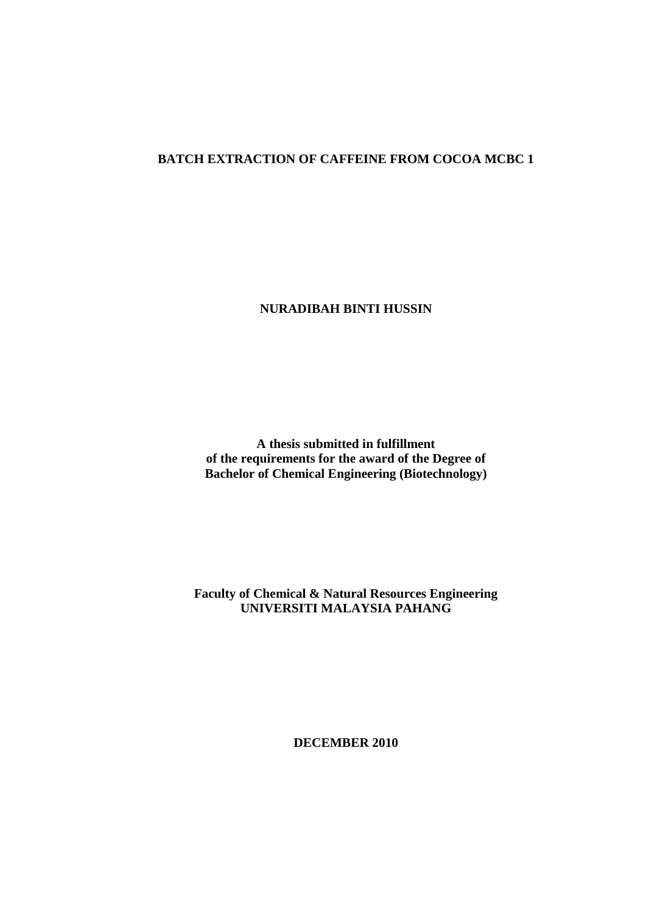#### **BATCH EXTRACTION OF CAFFEINE FROM COCOA MCBC 1**

**NURADIBAH BINTI HUSSIN**

**A thesis submitted in fulfillment of the requirements for the award of the Degree of Bachelor of Chemical Engineering (Biotechnology)**

**Faculty of Chemical & Natural Resources Engineering UNIVERSITI MALAYSIA PAHANG**

**DECEMBER 2010**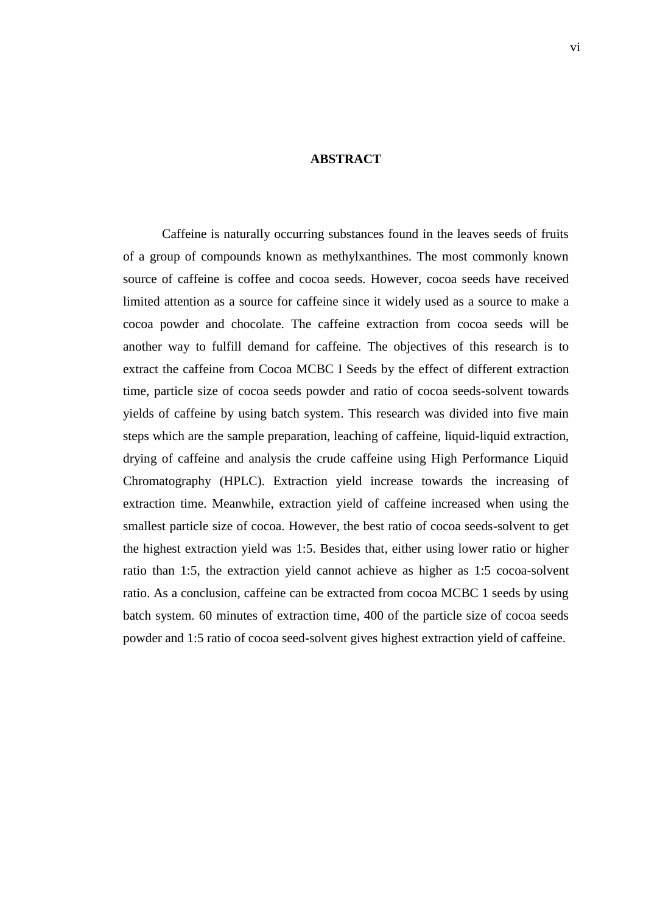#### **ABSTRACT**

Caffeine is naturally occurring substances found in the leaves seeds of fruits of a group of compounds known as methylxanthines. The most commonly known source of caffeine is coffee and cocoa seeds. However, cocoa seeds have received limited attention as a source for caffeine since it widely used as a source to make a cocoa powder and chocolate. The caffeine extraction from cocoa seeds will be another way to fulfill demand for caffeine. The objectives of this research is to extract the caffeine from Cocoa MCBC I Seeds by the effect of different extraction time, particle size of cocoa seeds powder and ratio of cocoa seeds-solvent towards yields of caffeine by using batch system. This research was divided into five main steps which are the sample preparation, leaching of caffeine, liquid-liquid extraction, drying of caffeine and analysis the crude caffeine using High Performance Liquid Chromatography (HPLC). Extraction yield increase towards the increasing of extraction time. Meanwhile, extraction yield of caffeine increased when using the smallest particle size of cocoa. However, the best ratio of cocoa seeds-solvent to get the highest extraction yield was 1:5. Besides that, either using lower ratio or higher ratio than 1:5, the extraction yield cannot achieve as higher as 1:5 cocoa-solvent ratio. As a conclusion, caffeine can be extracted from cocoa MCBC 1 seeds by using batch system. 60 minutes of extraction time, 400 of the particle size of cocoa seeds powder and 1:5 ratio of cocoa seed-solvent gives highest extraction yield of caffeine.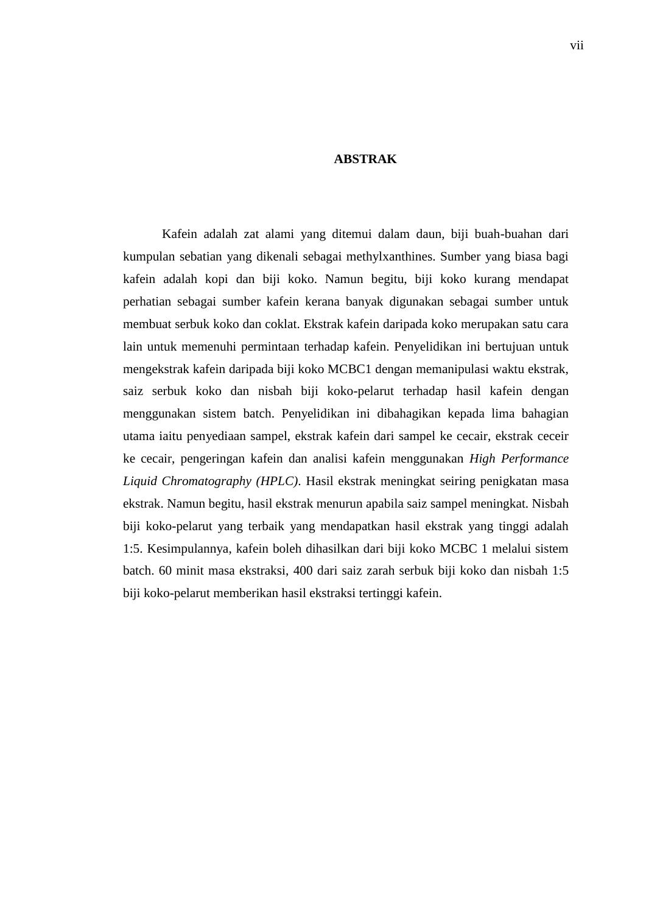#### **ABSTRAK**

Kafein adalah zat alami yang ditemui dalam daun, biji buah-buahan dari kumpulan sebatian yang dikenali sebagai methylxanthines. Sumber yang biasa bagi kafein adalah kopi dan biji koko. Namun begitu, biji koko kurang mendapat perhatian sebagai sumber kafein kerana banyak digunakan sebagai sumber untuk membuat serbuk koko dan coklat. Ekstrak kafein daripada koko merupakan satu cara lain untuk memenuhi permintaan terhadap kafein. Penyelidikan ini bertujuan untuk mengekstrak kafein daripada biji koko MCBC1 dengan memanipulasi waktu ekstrak, saiz serbuk koko dan nisbah biji koko-pelarut terhadap hasil kafein dengan menggunakan sistem batch. Penyelidikan ini dibahagikan kepada lima bahagian utama iaitu penyediaan sampel, ekstrak kafein dari sampel ke cecair, ekstrak ceceir ke cecair, pengeringan kafein dan analisi kafein menggunakan *High Performance Liquid Chromatography (HPLC)*. Hasil ekstrak meningkat seiring penigkatan masa ekstrak. Namun begitu, hasil ekstrak menurun apabila saiz sampel meningkat. Nisbah biji koko-pelarut yang terbaik yang mendapatkan hasil ekstrak yang tinggi adalah 1:5. Kesimpulannya, kafein boleh dihasilkan dari biji koko MCBC 1 melalui sistem batch. 60 minit masa ekstraksi, 400 dari saiz zarah serbuk biji koko dan nisbah 1:5 biji koko-pelarut memberikan hasil ekstraksi tertinggi kafein.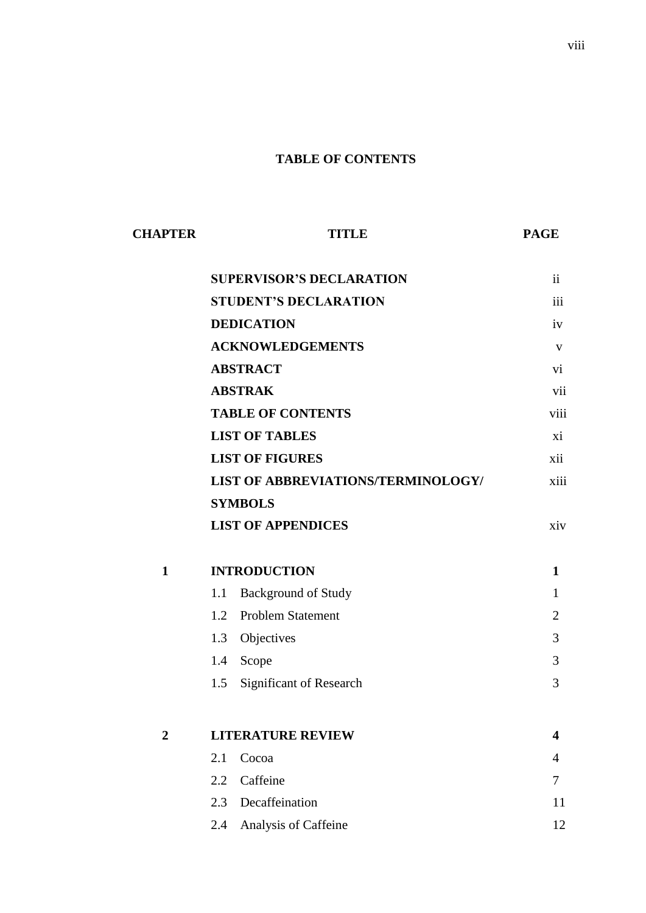### **TABLE OF CONTENTS**

| <b>CHAPTER</b> | <b>TITLE</b>                              | <b>PAGE</b>    |
|----------------|-------------------------------------------|----------------|
|                | <b>SUPERVISOR'S DECLARATION</b>           | $\mathbf{ii}$  |
|                | <b>STUDENT'S DECLARATION</b>              | iii            |
|                | <b>DEDICATION</b>                         | iv             |
|                | <b>ACKNOWLEDGEMENTS</b>                   | V              |
|                | <b>ABSTRACT</b>                           | vi             |
|                | <b>ABSTRAK</b>                            | vii            |
|                | <b>TABLE OF CONTENTS</b>                  | viii           |
|                | <b>LIST OF TABLES</b>                     | xi             |
|                | <b>LIST OF FIGURES</b>                    | xii            |
|                | <b>LIST OF ABBREVIATIONS/TERMINOLOGY/</b> | xiii           |
|                | <b>SYMBOLS</b>                            |                |
|                | <b>LIST OF APPENDICES</b>                 | xiv            |
| $\mathbf{1}$   | <b>INTRODUCTION</b>                       | 1              |
|                | <b>Background of Study</b><br>1.1         | $\mathbf{1}$   |
|                | <b>Problem Statement</b><br>1.2           | $\overline{2}$ |
|                | Objectives<br>1.3                         | 3              |
|                | Scope<br>1.4                              | 3              |
|                | Significant of Research<br>1.5            | 3              |
| $\overline{2}$ | <b>LITERATURE REVIEW</b>                  | 4              |
|                | Cocoa<br>2.1                              | 4              |
|                | 2.2<br>Caffeine                           | 7              |
|                | Decaffeination<br>2.3                     | 11             |
|                | Analysis of Caffeine<br>2.4               | 12             |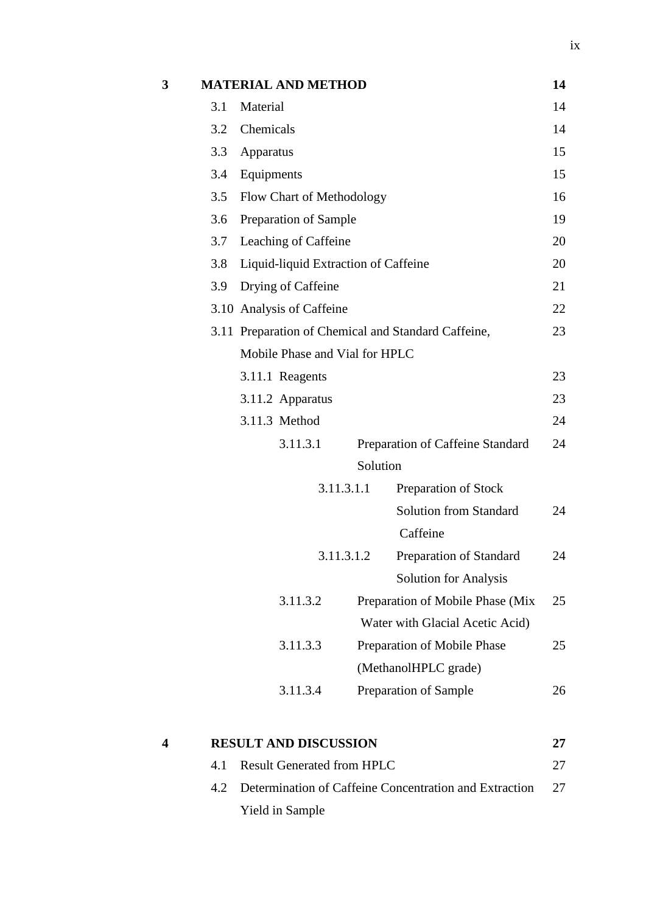|     |                  |           |                                                                                                                                                                                            | 14                                                                                                                                                                                                                                                                                                                                                                                                     |  |  |
|-----|------------------|-----------|--------------------------------------------------------------------------------------------------------------------------------------------------------------------------------------------|--------------------------------------------------------------------------------------------------------------------------------------------------------------------------------------------------------------------------------------------------------------------------------------------------------------------------------------------------------------------------------------------------------|--|--|
| 3.1 | Material         |           |                                                                                                                                                                                            | 14                                                                                                                                                                                                                                                                                                                                                                                                     |  |  |
| 3.2 |                  |           |                                                                                                                                                                                            |                                                                                                                                                                                                                                                                                                                                                                                                        |  |  |
| 3.3 | Apparatus        |           |                                                                                                                                                                                            |                                                                                                                                                                                                                                                                                                                                                                                                        |  |  |
| 3.4 | Equipments       |           |                                                                                                                                                                                            | 15                                                                                                                                                                                                                                                                                                                                                                                                     |  |  |
| 3.5 |                  |           |                                                                                                                                                                                            | 16                                                                                                                                                                                                                                                                                                                                                                                                     |  |  |
| 3.6 |                  |           |                                                                                                                                                                                            | 19                                                                                                                                                                                                                                                                                                                                                                                                     |  |  |
| 3.7 |                  |           |                                                                                                                                                                                            | 20                                                                                                                                                                                                                                                                                                                                                                                                     |  |  |
| 3.8 |                  |           |                                                                                                                                                                                            | 20                                                                                                                                                                                                                                                                                                                                                                                                     |  |  |
| 3.9 |                  |           |                                                                                                                                                                                            | 21                                                                                                                                                                                                                                                                                                                                                                                                     |  |  |
|     |                  |           |                                                                                                                                                                                            | 22                                                                                                                                                                                                                                                                                                                                                                                                     |  |  |
|     |                  |           |                                                                                                                                                                                            | 23                                                                                                                                                                                                                                                                                                                                                                                                     |  |  |
|     |                  |           |                                                                                                                                                                                            |                                                                                                                                                                                                                                                                                                                                                                                                        |  |  |
|     | 3.11.1 Reagents  |           |                                                                                                                                                                                            | 23                                                                                                                                                                                                                                                                                                                                                                                                     |  |  |
|     | 3.11.2 Apparatus |           |                                                                                                                                                                                            | 23                                                                                                                                                                                                                                                                                                                                                                                                     |  |  |
|     | 3.11.3 Method    |           |                                                                                                                                                                                            | 24                                                                                                                                                                                                                                                                                                                                                                                                     |  |  |
|     | 3.11.3.1         |           |                                                                                                                                                                                            | 24                                                                                                                                                                                                                                                                                                                                                                                                     |  |  |
|     |                  |           |                                                                                                                                                                                            |                                                                                                                                                                                                                                                                                                                                                                                                        |  |  |
|     |                  |           | Preparation of Stock                                                                                                                                                                       |                                                                                                                                                                                                                                                                                                                                                                                                        |  |  |
|     |                  |           | <b>Solution from Standard</b>                                                                                                                                                              | 24                                                                                                                                                                                                                                                                                                                                                                                                     |  |  |
|     |                  |           | Caffeine                                                                                                                                                                                   |                                                                                                                                                                                                                                                                                                                                                                                                        |  |  |
|     |                  |           | Preparation of Standard                                                                                                                                                                    | 24                                                                                                                                                                                                                                                                                                                                                                                                     |  |  |
|     |                  |           | <b>Solution for Analysis</b>                                                                                                                                                               |                                                                                                                                                                                                                                                                                                                                                                                                        |  |  |
|     | 3.11.3.2         |           |                                                                                                                                                                                            | 25                                                                                                                                                                                                                                                                                                                                                                                                     |  |  |
|     |                  |           |                                                                                                                                                                                            |                                                                                                                                                                                                                                                                                                                                                                                                        |  |  |
|     | 3.11.3.3         |           |                                                                                                                                                                                            | 25                                                                                                                                                                                                                                                                                                                                                                                                     |  |  |
|     |                  |           |                                                                                                                                                                                            |                                                                                                                                                                                                                                                                                                                                                                                                        |  |  |
|     | 3.11.3.4         |           |                                                                                                                                                                                            | 26                                                                                                                                                                                                                                                                                                                                                                                                     |  |  |
|     |                  |           |                                                                                                                                                                                            | 27                                                                                                                                                                                                                                                                                                                                                                                                     |  |  |
| 4.1 |                  |           |                                                                                                                                                                                            | 27                                                                                                                                                                                                                                                                                                                                                                                                     |  |  |
|     |                  | Chemicals | <b>MATERIAL AND METHOD</b><br>Preparation of Sample<br>Leaching of Caffeine<br>Drying of Caffeine<br>3.10 Analysis of Caffeine<br>3.11.3.1.1<br>3.11.3.1.2<br><b>RESULT AND DISCUSSION</b> | Flow Chart of Methodology<br>Liquid-liquid Extraction of Caffeine<br>3.11 Preparation of Chemical and Standard Caffeine,<br>Mobile Phase and Vial for HPLC<br>Preparation of Caffeine Standard<br>Solution<br>Preparation of Mobile Phase (Mix<br>Water with Glacial Acetic Acid)<br>Preparation of Mobile Phase<br>(MethanolHPLC grade)<br>Preparation of Sample<br><b>Result Generated from HPLC</b> |  |  |

| 4.2 Determination of Caffeine Concentration and Extraction | -27 |
|------------------------------------------------------------|-----|
| Yield in Sample                                            |     |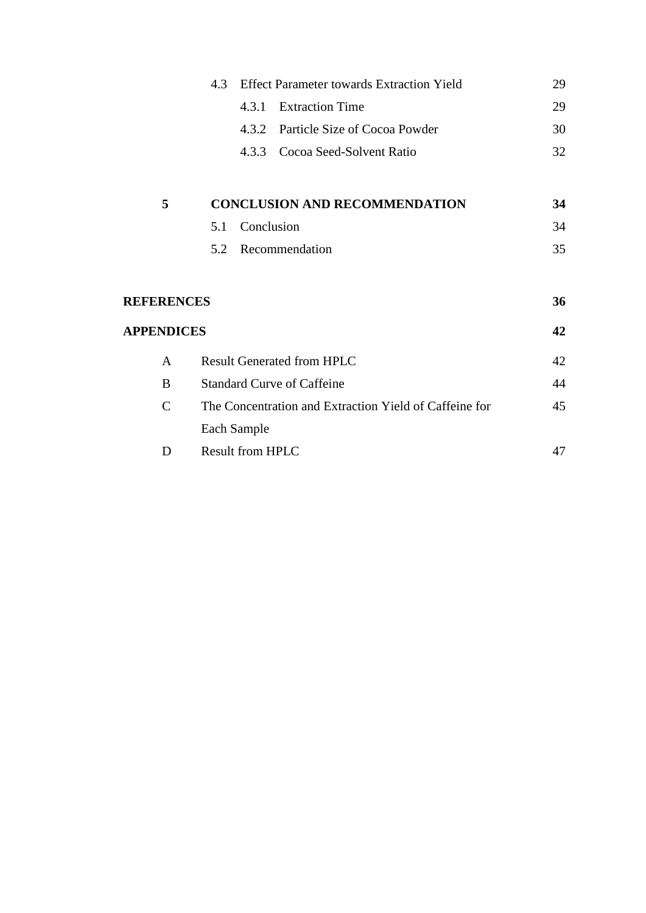| <b>Effect Parameter towards Extraction Yield</b><br>4.3 |     |             | 29                                                     |    |  |  |
|---------------------------------------------------------|-----|-------------|--------------------------------------------------------|----|--|--|
|                                                         |     | 4.3.1       | <b>Extraction Time</b>                                 | 29 |  |  |
|                                                         |     | 4.3.2       | Particle Size of Cocoa Powder                          | 30 |  |  |
|                                                         |     | 4.3.3       | Cocoa Seed-Solvent Ratio                               | 32 |  |  |
| 5                                                       |     |             | <b>CONCLUSION AND RECOMMENDATION</b>                   | 34 |  |  |
|                                                         | 5.1 | Conclusion  |                                                        | 34 |  |  |
|                                                         | 5.2 |             | Recommendation                                         | 35 |  |  |
| <b>REFERENCES</b>                                       |     |             |                                                        | 36 |  |  |
| <b>APPENDICES</b>                                       |     |             |                                                        | 42 |  |  |
| A                                                       |     |             | <b>Result Generated from HPLC</b>                      | 42 |  |  |
| B                                                       |     |             | <b>Standard Curve of Caffeine</b>                      | 44 |  |  |
| $\mathcal{C}$                                           |     |             | The Concentration and Extraction Yield of Caffeine for | 45 |  |  |
|                                                         |     | Each Sample |                                                        |    |  |  |
| D                                                       |     |             | <b>Result from HPLC</b>                                |    |  |  |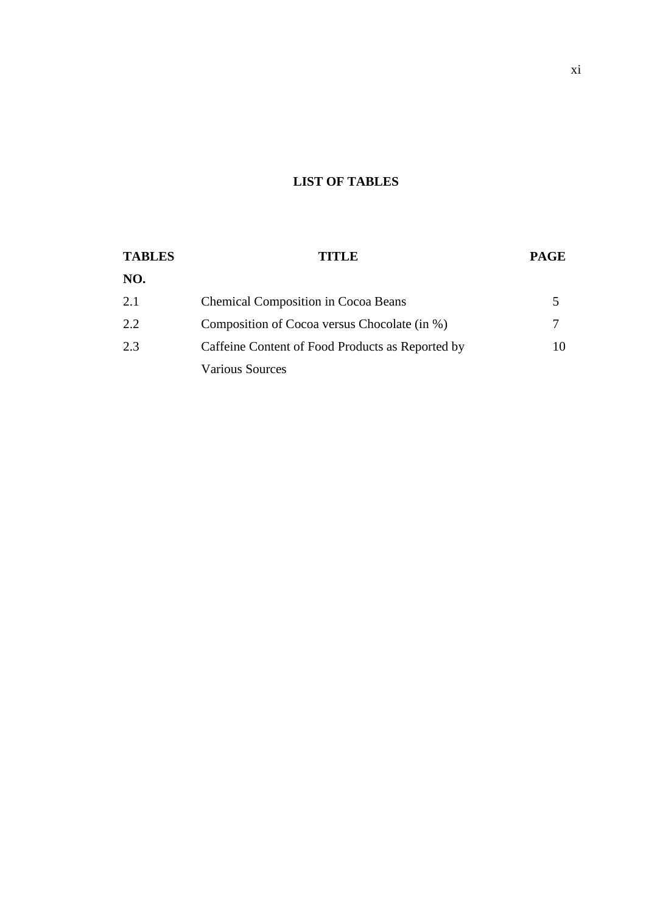## **LIST OF TABLES**

| <b>TABLES</b> | TITLE                                            | <b>PAGE</b> |
|---------------|--------------------------------------------------|-------------|
| NO.           |                                                  |             |
| 2.1           | <b>Chemical Composition in Cocoa Beans</b>       |             |
| 2.2           | Composition of Cocoa versus Chocolate (in %)     |             |
| 2.3           | Caffeine Content of Food Products as Reported by | 10          |
|               | <b>Various Sources</b>                           |             |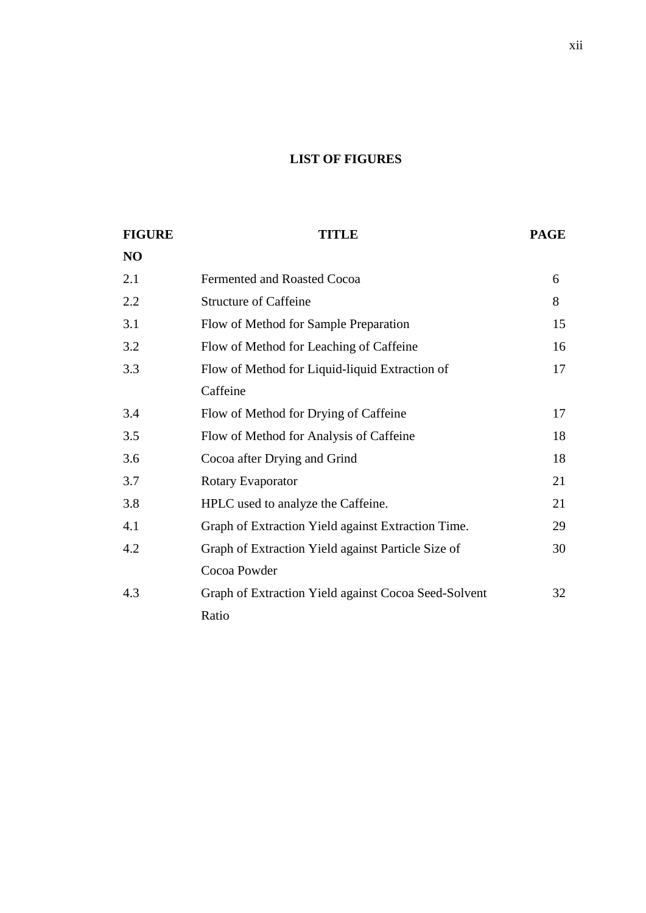# **LIST OF FIGURES**

| <b>FIGURE</b> | TITLE                                                |    |  |
|---------------|------------------------------------------------------|----|--|
| NO            |                                                      |    |  |
| 2.1           | <b>Fermented and Roasted Cocoa</b>                   | 6  |  |
| 2.2           | <b>Structure of Caffeine</b>                         | 8  |  |
| 3.1           | Flow of Method for Sample Preparation                | 15 |  |
| 3.2           | Flow of Method for Leaching of Caffeine              | 16 |  |
| 3.3           | Flow of Method for Liquid-liquid Extraction of       | 17 |  |
|               | Caffeine                                             |    |  |
| 3.4           | Flow of Method for Drying of Caffeine                | 17 |  |
| 3.5           | Flow of Method for Analysis of Caffeine              | 18 |  |
| 3.6           | Cocoa after Drying and Grind                         | 18 |  |
| 3.7           | Rotary Evaporator                                    | 21 |  |
| 3.8           | HPLC used to analyze the Caffeine.                   | 21 |  |
| 4.1           | Graph of Extraction Yield against Extraction Time.   | 29 |  |
| 4.2           | Graph of Extraction Yield against Particle Size of   | 30 |  |
|               | Cocoa Powder                                         |    |  |
| 4.3           | Graph of Extraction Yield against Cocoa Seed-Solvent | 32 |  |
|               | Ratio                                                |    |  |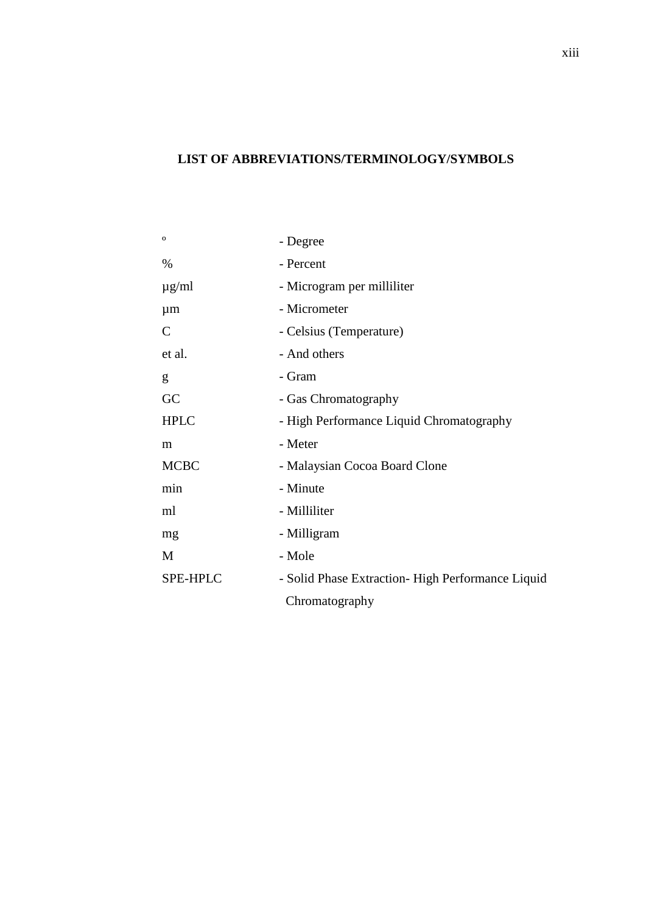# **LIST OF ABBREVIATIONS/TERMINOLOGY/SYMBOLS**

| $\mathbf{o}$  | - Degree                                         |  |  |
|---------------|--------------------------------------------------|--|--|
| $\%$          | - Percent                                        |  |  |
| $\mu$ g/ml    | - Microgram per milliliter                       |  |  |
| $\mu$ m       | - Micrometer                                     |  |  |
| $\mathcal{C}$ | - Celsius (Temperature)                          |  |  |
| et al.        | - And others                                     |  |  |
| g             | - Gram                                           |  |  |
| GC            | - Gas Chromatography                             |  |  |
| <b>HPLC</b>   | - High Performance Liquid Chromatography         |  |  |
| m             | - Meter                                          |  |  |
| <b>MCBC</b>   | - Malaysian Cocoa Board Clone                    |  |  |
| min           | - Minute                                         |  |  |
| ml            | - Milliliter                                     |  |  |
| mg            | - Milligram                                      |  |  |
| M             | - Mole                                           |  |  |
| SPE-HPLC      | - Solid Phase Extraction-High Performance Liquid |  |  |
|               | Chromatography                                   |  |  |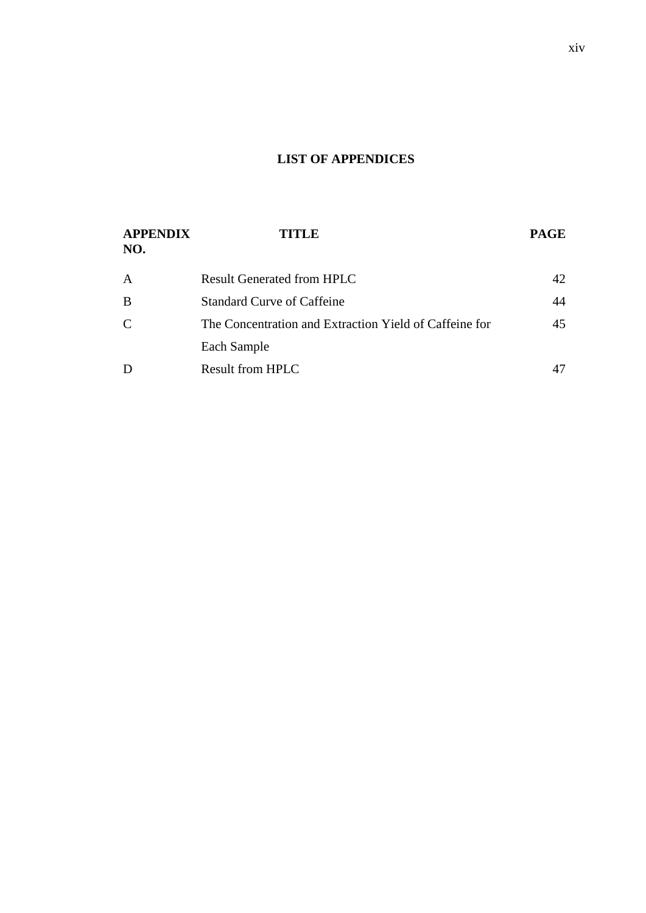# **LIST OF APPENDICES**

| <b>APPENDIX</b><br>NO. | <b>TITLE</b>                                           | <b>PAGE</b> |
|------------------------|--------------------------------------------------------|-------------|
| $\overline{A}$         | <b>Result Generated from HPLC</b>                      | 42          |
| B                      | <b>Standard Curve of Caffeine</b>                      | 44          |
| $\mathcal{C}$          | The Concentration and Extraction Yield of Caffeine for | 45          |
|                        | Each Sample                                            |             |
| D                      | <b>Result from HPLC</b>                                |             |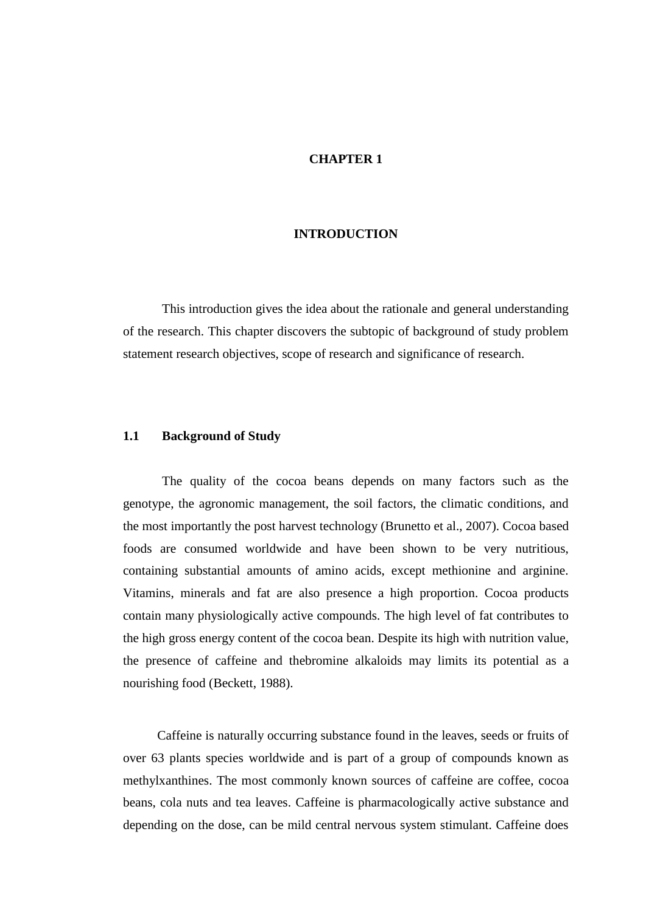#### **CHAPTER 1**

#### **INTRODUCTION**

This introduction gives the idea about the rationale and general understanding of the research. This chapter discovers the subtopic of background of study problem statement research objectives, scope of research and significance of research.

#### **1.1 Background of Study**

The quality of the cocoa beans depends on many factors such as the genotype, the agronomic management, the soil factors, the climatic conditions, and the most importantly the post harvest technology (Brunetto et al., 2007). Cocoa based foods are consumed worldwide and have been shown to be very nutritious, containing substantial amounts of amino acids, except methionine and arginine. Vitamins, minerals and fat are also presence a high proportion. Cocoa products contain many physiologically active compounds. The high level of fat contributes to the high gross energy content of the cocoa bean. Despite its high with nutrition value, the presence of caffeine and thebromine alkaloids may limits its potential as a nourishing food (Beckett, 1988).

Caffeine is naturally occurring substance found in the leaves, seeds or fruits of over 63 plants species worldwide and is part of a group of compounds known as methylxanthines. The most commonly known sources of caffeine are coffee, cocoa beans, cola nuts and tea leaves. Caffeine is pharmacologically active substance and depending on the dose, can be mild central nervous system stimulant. Caffeine does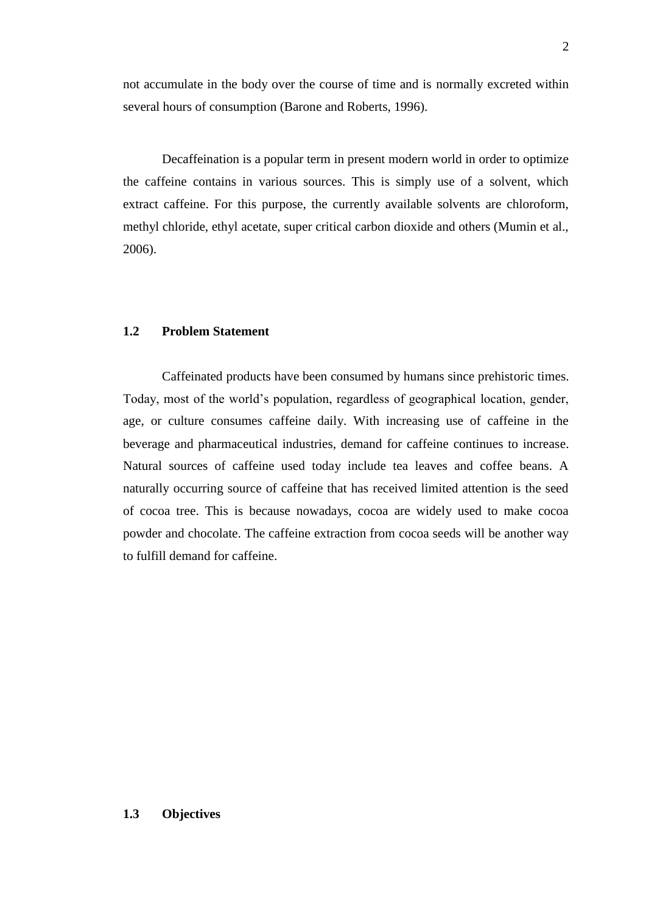not accumulate in the body over the course of time and is normally excreted within several hours of consumption (Barone and Roberts, 1996).

Decaffeination is a popular term in present modern world in order to optimize the caffeine contains in various sources. This is simply use of a solvent, which extract caffeine. For this purpose, the currently available solvents are chloroform, methyl chloride, ethyl acetate, super critical carbon dioxide and others (Mumin et al., 2006).

### **1.2 Problem Statement**

Caffeinated products have been consumed by humans since prehistoric times. Today, most of the world's population, regardless of geographical location, gender, age, or culture consumes caffeine daily. With increasing use of caffeine in the beverage and pharmaceutical industries, demand for caffeine continues to increase. Natural sources of caffeine used today include tea leaves and coffee beans. A naturally occurring source of caffeine that has received limited attention is the seed of cocoa tree. This is because nowadays, cocoa are widely used to make cocoa powder and chocolate. The caffeine extraction from cocoa seeds will be another way to fulfill demand for caffeine.

### **1.3 Objectives**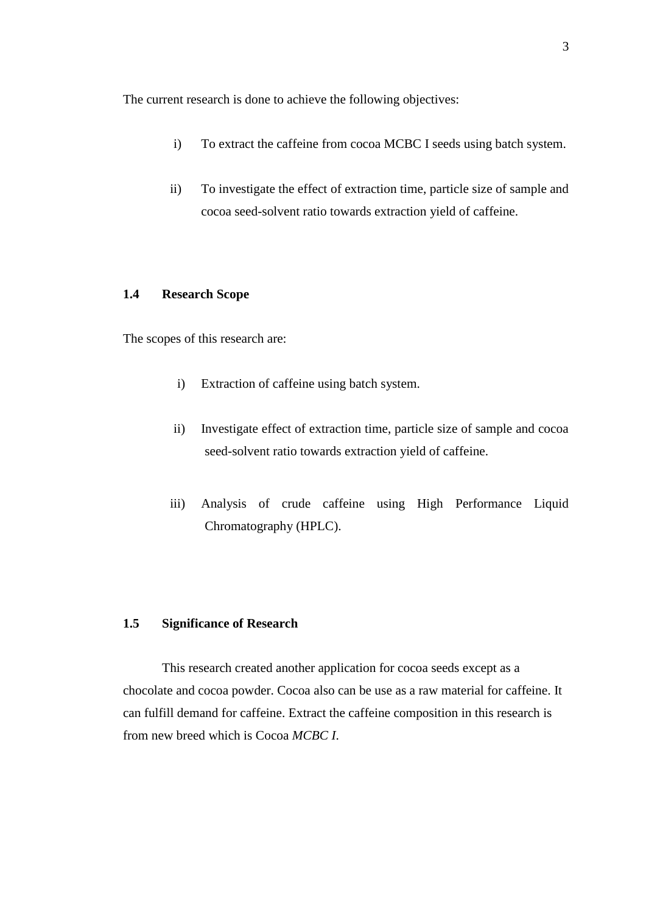The current research is done to achieve the following objectives:

- i) To extract the caffeine from cocoa MCBC I seeds using batch system.
- ii) To investigate the effect of extraction time, particle size of sample and cocoa seed-solvent ratio towards extraction yield of caffeine.

#### **1.4 Research Scope**

The scopes of this research are:

- i) Extraction of caffeine using batch system.
- ii) Investigate effect of extraction time, particle size of sample and cocoa seed-solvent ratio towards extraction yield of caffeine.
- iii) Analysis of crude caffeine using High Performance Liquid Chromatography (HPLC).

#### **1.5 Significance of Research**

This research created another application for cocoa seeds except as a chocolate and cocoa powder. Cocoa also can be use as a raw material for caffeine. It can fulfill demand for caffeine. Extract the caffeine composition in this research is from new breed which is Cocoa *MCBC I*.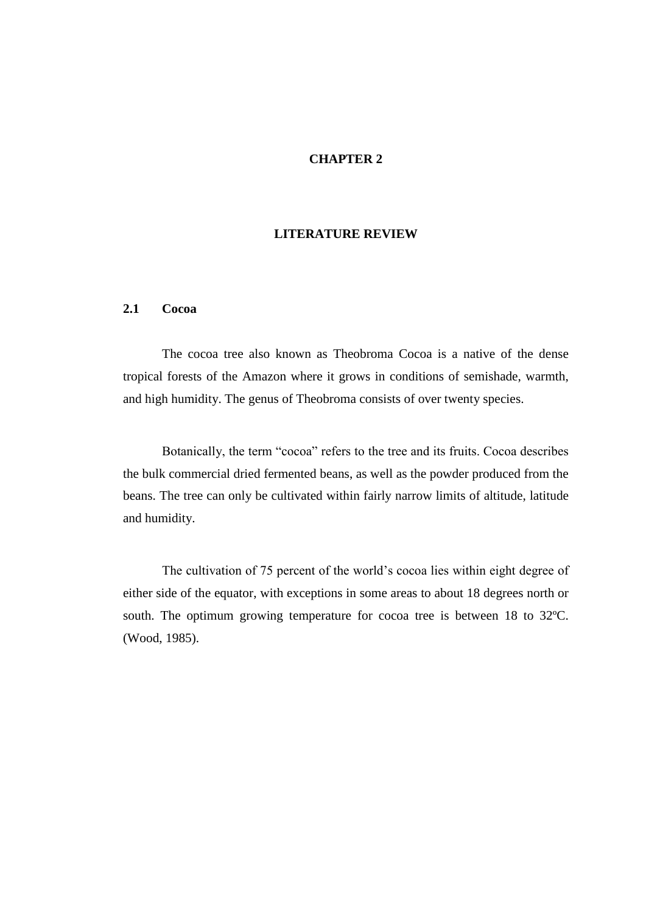#### **CHAPTER 2**

### **LITERATURE REVIEW**

#### **2.1 Cocoa**

The cocoa tree also known as Theobroma Cocoa is a native of the dense tropical forests of the Amazon where it grows in conditions of semishade, warmth, and high humidity. The genus of Theobroma consists of over twenty species.

Botanically, the term "cocoa" refers to the tree and its fruits. Cocoa describes the bulk commercial dried fermented beans, as well as the powder produced from the beans. The tree can only be cultivated within fairly narrow limits of altitude, latitude and humidity.

The cultivation of 75 percent of the world's cocoa lies within eight degree of either side of the equator, with exceptions in some areas to about 18 degrees north or south. The optimum growing temperature for cocoa tree is between 18 to 32ºC. (Wood, 1985).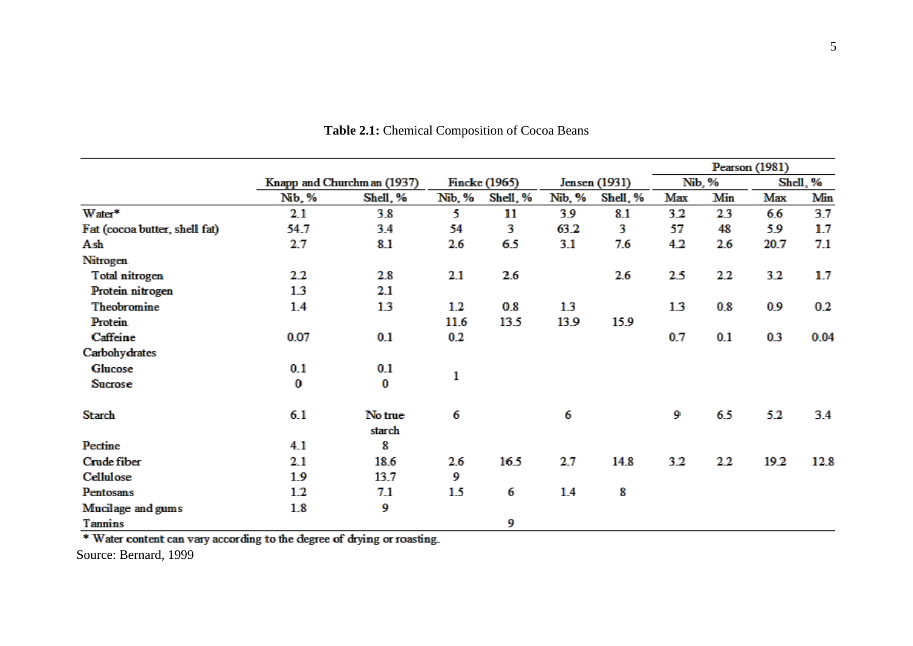|                               |          |                             |        |               |        |               |     |        | Pearson (1981) |          |
|-------------------------------|----------|-----------------------------|--------|---------------|--------|---------------|-----|--------|----------------|----------|
|                               |          | Knapp and Churchm an (1937) |        | Fincke (1965) |        | Jensen (1931) |     | Nib, % |                | Shell, % |
|                               | Nib, %   | Shell, %                    | Nib, % | Shell, %      | Nib, % | Shell, %      | Max | Min    | Max            | Min      |
| Water*                        | 2.1      | 3.8                         | 5.     | 11            | 3.9    | 8.1           | 3.2 | 2.3    | 6.6            | 3.7      |
| Fat (cocoa butter, shell fat) | 54.7     | 3.4                         | 54     | 3             | 63.2   | 3             | 57  | 48     | 5.9            | 1.7      |
| Ash                           | 2.7      | 8.1                         | 2.6    | 6.5           | 3.1    | 7.6           | 4.2 | 2.6    | 20.7           | 7.1      |
| <b>Nitrogen</b>               |          |                             |        |               |        |               |     |        |                |          |
| Total nitrogen                | 2.2      | 2.8                         | 2.1    | 2.6           |        | 2.6           | 2.5 | 2.2    | 3.2            | 1.7      |
| Protein nitrogen              | 1.3      | 2.1                         |        |               |        |               |     |        |                |          |
| Theobromine                   | 1.4      | 1.3                         | 1.2    | 0.8           | 1.3    |               | 1.3 | 0.8    | 0.9            | 0.2      |
| Protein                       |          |                             | 11.6   | 13.5          | 13.9   | 15.9          |     |        |                |          |
| Caffeine                      | 0.07     | 0.1                         | 0.2    |               |        |               | 0.7 | 0.1    | 0.3            | 0.04     |
| Carbohydrates                 |          |                             |        |               |        |               |     |        |                |          |
| Glucose                       | 0.1      | 0.1                         |        |               |        |               |     |        |                |          |
| Sucrose                       | $\bf{0}$ | 0                           | 1      |               |        |               |     |        |                |          |
| Starch                        | 6.1      | No true<br>starch           | 6      |               | 6      |               | 9   | 6.5    | 5.2            | 3.4      |
| Pectine                       | 4.1      | 8                           |        |               |        |               |     |        |                |          |
| Crude fiber                   | 2.1      | 18.6                        | 2.6    | 16.5          | 2.7    | 14.8          | 3.2 | 2.2    | 19.2           | 12.8     |
| Cellulose                     | 1.9      | 13.7                        | 9      |               |        |               |     |        |                |          |
| Pentosans                     | 1.2      | 7.1                         | 1.5    | 6             | 1.4    | 8             |     |        |                |          |
| Mucilage and gums             | 1.8      | 9                           |        |               |        |               |     |        |                |          |
| Tannins                       |          |                             |        | 9             |        |               |     |        |                |          |

**Table 2.1:** Chemical Composition of Cocoa Beans

\* Water content can vary according to the degree of drying or roasting.

Source: Bernard, 1999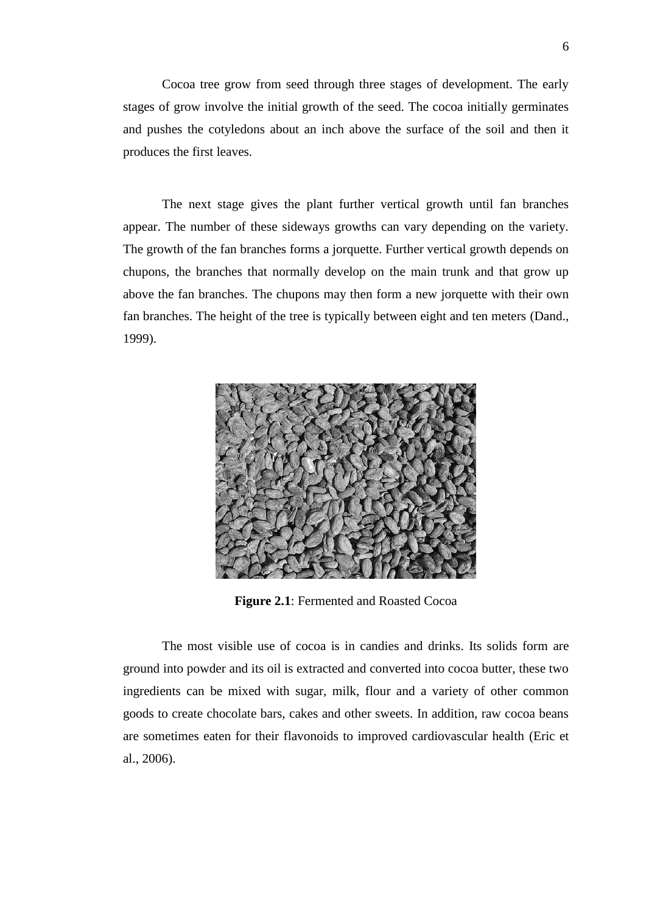Cocoa tree grow from seed through three stages of development. The early stages of grow involve the initial growth of the seed. The cocoa initially germinates and pushes the cotyledons about an inch above the surface of the soil and then it produces the first leaves.

The next stage gives the plant further vertical growth until fan branches appear. The number of these sideways growths can vary depending on the variety. The growth of the fan branches forms a jorquette. Further vertical growth depends on chupons, the branches that normally develop on the main trunk and that grow up above the fan branches. The chupons may then form a new jorquette with their own fan branches. The height of the tree is typically between eight and ten meters (Dand., 1999).



**Figure 2.1**: Fermented and Roasted Cocoa

The most visible use of cocoa is in candies and drinks. Its solids form are ground into powder and its oil is extracted and converted into cocoa butter, these two ingredients can be mixed with sugar, milk, flour and a variety of other common goods to create chocolate bars, cakes and other sweets. In addition, raw cocoa beans are sometimes eaten for their flavonoids to improved cardiovascular health (Eric et al., 2006).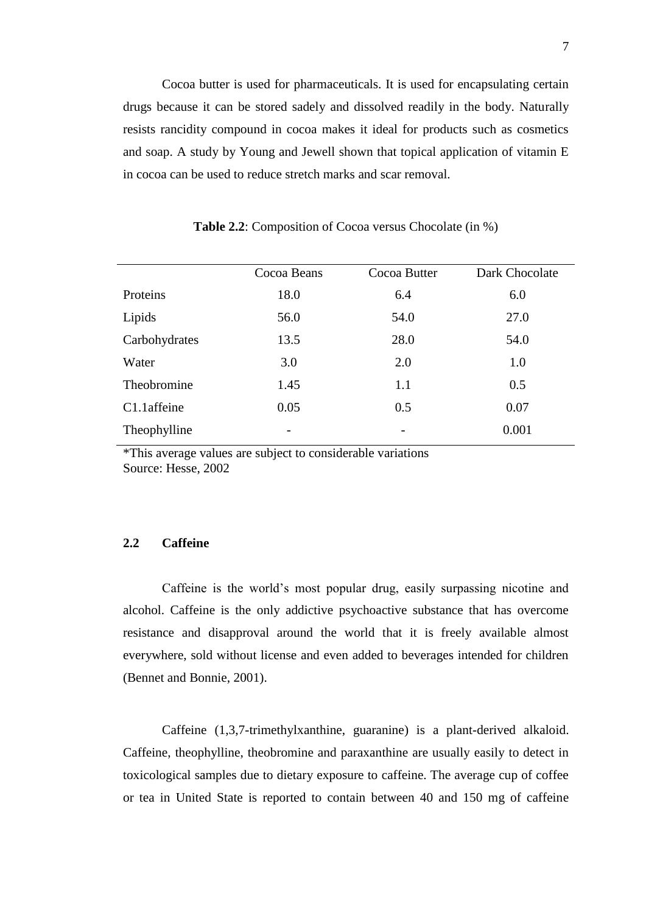Cocoa butter is used for pharmaceuticals. It is used for encapsulating certain drugs because it can be stored sadely and dissolved readily in the body. Naturally resists rancidity compound in cocoa makes it ideal for products such as cosmetics and soap. A study by Young and Jewell shown that topical application of vitamin E in cocoa can be used to reduce stretch marks and scar removal.

|               | Cocoa Beans | Cocoa Butter | Dark Chocolate |
|---------------|-------------|--------------|----------------|
| Proteins      | 18.0        | 6.4          | 6.0            |
| Lipids        | 56.0        | 54.0         | 27.0           |
| Carbohydrates | 13.5        | 28.0         | 54.0           |
| Water         | 3.0         | 2.0          | 1.0            |
| Theobromine   | 1.45        | 1.1          | 0.5            |
| C1.1affeine   | 0.05        | 0.5          | 0.07           |
| Theophylline  | -           |              | 0.001          |

**Table 2.2**: Composition of Cocoa versus Chocolate (in %)

\*This average values are subject to considerable variations Source: Hesse, 2002

#### **2.2 Caffeine**

Caffeine is the world's most popular drug, easily surpassing nicotine and alcohol. Caffeine is the only addictive psychoactive substance that has overcome resistance and disapproval around the world that it is freely available almost everywhere, sold without license and even added to beverages intended for children (Bennet and Bonnie, 2001).

Caffeine (1,3,7-trimethylxanthine, guaranine) is a plant-derived alkaloid. Caffeine, theophylline, theobromine and paraxanthine are usually easily to detect in toxicological samples due to dietary exposure to caffeine. The average cup of coffee or tea in United State is reported to contain between 40 and 150 mg of caffeine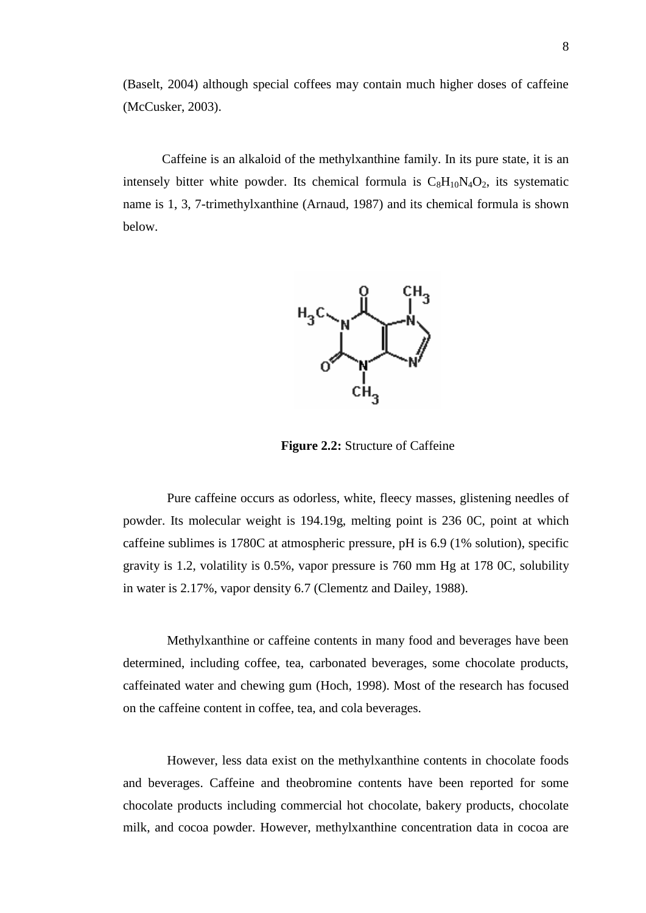(Baselt, 2004) although special coffees may contain much higher doses of caffeine (McCusker, 2003).

Caffeine is an alkaloid of the methylxanthine family. In its pure state, it is an intensely bitter white powder. Its chemical formula is  $C_8H_{10}N_4O_2$ , its systematic name is 1, 3, 7-trimethylxanthine (Arnaud, 1987) and its chemical formula is shown below.



**Figure 2.2:** Structure of Caffeine

Pure caffeine occurs as odorless, white, fleecy masses, glistening needles of powder. Its molecular weight is 194.19g, melting point is 236 0C, point at which caffeine sublimes is 1780C at atmospheric pressure, pH is 6.9 (1% solution), specific gravity is 1.2, volatility is 0.5%, vapor pressure is 760 mm Hg at 178 0C, solubility in water is 2.17%, vapor density 6.7 (Clementz and Dailey, 1988).

Methylxanthine or caffeine contents in many food and beverages have been determined, including coffee, tea, carbonated beverages, some chocolate products, caffeinated water and chewing gum (Hoch, 1998). Most of the research has focused on the caffeine content in coffee, tea, and cola beverages.

However, less data exist on the methylxanthine contents in chocolate foods and beverages. Caffeine and theobromine contents have been reported for some chocolate products including commercial hot chocolate, bakery products, chocolate milk, and cocoa powder. However, methylxanthine concentration data in cocoa are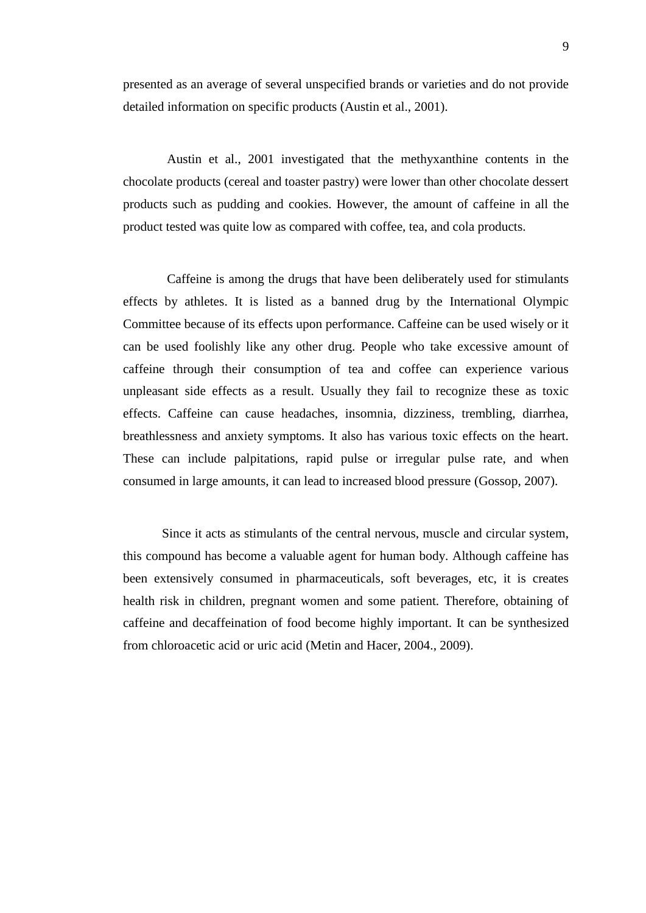presented as an average of several unspecified brands or varieties and do not provide detailed information on specific products (Austin et al., 2001).

Austin et al., 2001 investigated that the methyxanthine contents in the chocolate products (cereal and toaster pastry) were lower than other chocolate dessert products such as pudding and cookies. However, the amount of caffeine in all the product tested was quite low as compared with coffee, tea, and cola products.

Caffeine is among the drugs that have been deliberately used for stimulants effects by athletes. It is listed as a banned drug by the International Olympic Committee because of its effects upon performance. Caffeine can be used wisely or it can be used foolishly like any other drug. People who take excessive amount of caffeine through their consumption of tea and coffee can experience various unpleasant side effects as a result. Usually they fail to recognize these as toxic effects. Caffeine can cause headaches, insomnia, dizziness, trembling, diarrhea, breathlessness and anxiety symptoms. It also has various toxic effects on the heart. These can include palpitations, rapid pulse or irregular pulse rate, and when consumed in large amounts, it can lead to increased blood pressure (Gossop, 2007).

Since it acts as stimulants of the central nervous, muscle and circular system, this compound has become a valuable agent for human body. Although caffeine has been extensively consumed in pharmaceuticals, soft beverages, etc, it is creates health risk in children, pregnant women and some patient. Therefore, obtaining of caffeine and decaffeination of food become highly important. It can be synthesized from chloroacetic acid or uric acid (Metin and Hacer, 2004., 2009).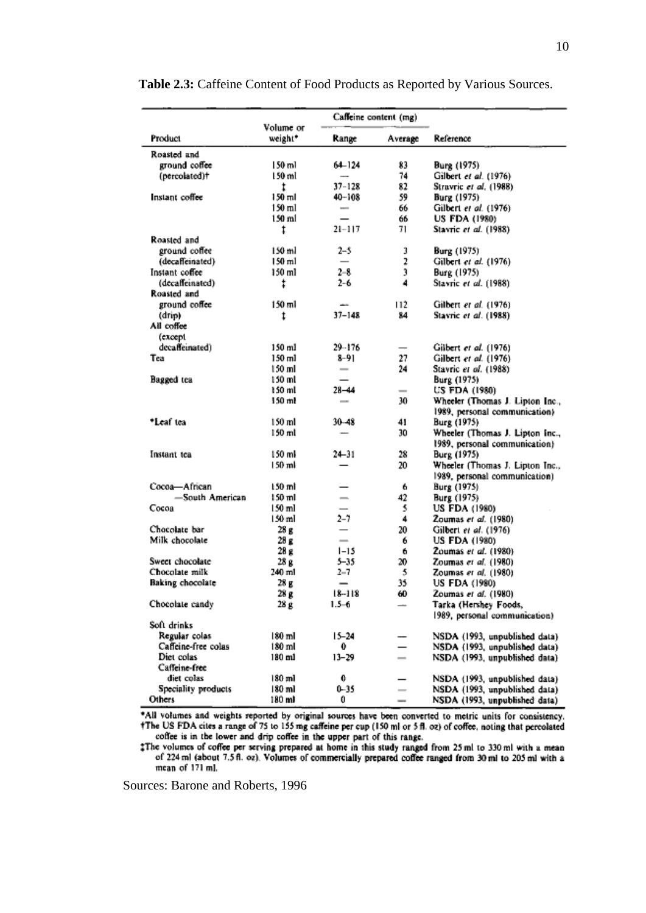|                     |                      |                              | Caffeine content (mg)    |                                 |
|---------------------|----------------------|------------------------------|--------------------------|---------------------------------|
| Product             | Volume or<br>weight* | Range                        | Average                  | Reference                       |
| Roasted and         |                      |                              |                          |                                 |
| ground coffee       | 150 ml               | 64–124                       | 83                       | Burg (1975)                     |
| (percolated)+       | 150 ml               | -                            | 74                       | Gilbert et al. (1976)           |
|                     | t                    | $37 - 128$                   | 82                       | Stravric et al. (1988)          |
| Instant coffee      | 150 ml               | 40-108                       | 59                       | Burg (1975)                     |
|                     | 150 ml               | $\sim$                       | 66                       | Gilbert et al. (1976)           |
|                     | 150 ml               |                              | 66                       | <b>US FDA (1980)</b>            |
|                     | ŧ                    | 21-117                       | 71                       | Stavric et al. (1988)           |
| Roasted and         |                      |                              |                          |                                 |
| ground coffee       | 150 ml               | 2-5                          | 3                        | Burg (1975)                     |
| (decaffeinated)     | 150 ml               | $\qquad \qquad$              | 2                        | Gilbert et al. (1976)           |
| Instant coffee      | 150 ml               | $2 - 8$                      | 3                        | Burg (1975)                     |
| (decaffeinated)     | ŧ                    | $2 - 6$                      | 4                        | Stavric et al. (1988)           |
| Roasted and         |                      |                              |                          |                                 |
| ground coffee       | 150 ml               |                              | 112                      | Gilbert et al. (1976)           |
| (drip)              | t                    | $37 - 148$                   | 84                       | Stavric et al. (1988)           |
| Ail coffee          |                      |                              |                          |                                 |
| (except             |                      |                              |                          |                                 |
| decaffeinated)      | 150 ml               | 29-176                       |                          | Gilbert et al. (1976)           |
| Tea                 | 150 ml               | 8-91                         | 27                       | Gilbert et al. (1976)           |
|                     | 150 ml               | $\qquad \qquad \blacksquare$ | 24                       | Stavric et al. (1988)           |
| Bagged tea          | 150 ml               |                              |                          | Burg (1975)                     |
|                     | 150 ml               | $28 - 44$                    | $\overline{\phantom{a}}$ | US FDA (1980)                   |
|                     | 150 ml               | $\overline{\phantom{a}}$     | 30                       | Wheeler (Thomas J. Lipton Inc., |
|                     |                      |                              |                          | 1989, personal communication)   |
| *Leaf tea           | 150 ml               | $30 - 48$                    | 41                       | Burg (1975)                     |
|                     | 150 ml               |                              | 30                       | Wheeler (Thomas J. Lipton Inc., |
|                     |                      |                              |                          | 1989, personal communication)   |
| Instant tea         | 150 ml               | $24 - 31$                    | 28                       | Burg (1975)                     |
|                     | 150 ml               |                              | 20                       | Wheeler (Thomas J. Lipton Inc., |
|                     |                      |                              |                          | 1989, personal communication)   |
| Cocoa-African       | 150 ml               |                              | 6                        | Burg (1975)                     |
| -South American     | 150 ml               | $\overline{\phantom{0}}$     | 42                       | Burg (1975)                     |
| Cocoa               | 150 ml               |                              | 5                        | <b>US FDA (1980)</b>            |
|                     | 150 ml               | $2 - 7$                      | 4                        | Zoumas et al. (1980)            |
| Chocolate bar       | 28g                  | $\overline{\phantom{0}}$     | 20                       | Gilbert et al. (1976)           |
| Milk chocolate      | 28 g                 | $\overline{\phantom{0}}$     | 6                        | <b>US FDA (1980)</b>            |
|                     | 28 g                 | $1 - 15$                     | 6                        | Zoumas et al. (1980)            |
| Sweet chocolate     | 28 g                 | $5 - 35$                     | 20                       | Zoumas et al. (1980)            |
| Chocolate milk      | 240 ml               | $2 - 7$                      | 5                        | Zoumas et al. (1980)            |
| Baking chocolate    | 28 g                 | -                            | 35                       | US FDA (1980)                   |
|                     | 28 g                 | $18 - 118$                   | 60                       | Zoumas et al. (1980)            |
| Chocolate candy     | 28 g                 | $1.5 - 6$                    |                          | Tarka (Hershey Foods,           |
|                     |                      |                              |                          | 1989, personal communication)   |
| Soft drinks         |                      |                              |                          |                                 |
| Regular colas       | 180 ml               | $15 - 24$                    |                          | NSDA (1993, unpublished data)   |
| Caffeine-free colas | 180 ml               | 0                            |                          | NSDA (1993, unpublished data)   |
| Diet colas          | 180 ml               | $13 - 29$                    | $\overline{\phantom{0}}$ | NSDA (1993, unpublished data)   |
| Caffeine-free       |                      |                              |                          |                                 |
| diet colas          | 180 ml               | 0                            |                          | NSDA (1993, unpublished data)   |
| Speciality products | 180 ml               | $0 - 35$                     | $\overline{\phantom{0}}$ | NSDA (1993, unpublished data)   |
| Others              | 180 ml               | 0                            | $\overline{\phantom{a}}$ | NSDA (1993, unpublished data)   |

#### **Table 2.3:** Caffeine Content of Food Products as Reported by Various Sources.

\*All volumes and weights reported by original sources have been converted to metric units for consistency.<br>The US FDA cites a range of 75 to 155 mg caffeine per cup (150 ml or 5 fl. oz) of coffee, noting that percolated coffee is in the lower and drip coffee in the upper part of this range.<br>The volumes of coffee per serving prepared at home in this study ranged from 25 ml to 330 ml with a mean

of 224 ml (about 7.5 fl. oz). Volumes of commercially prepared coffee ranged from 30 ml to 205 ml with a mean of 171 ml.

Sources: Barone and Roberts, 1996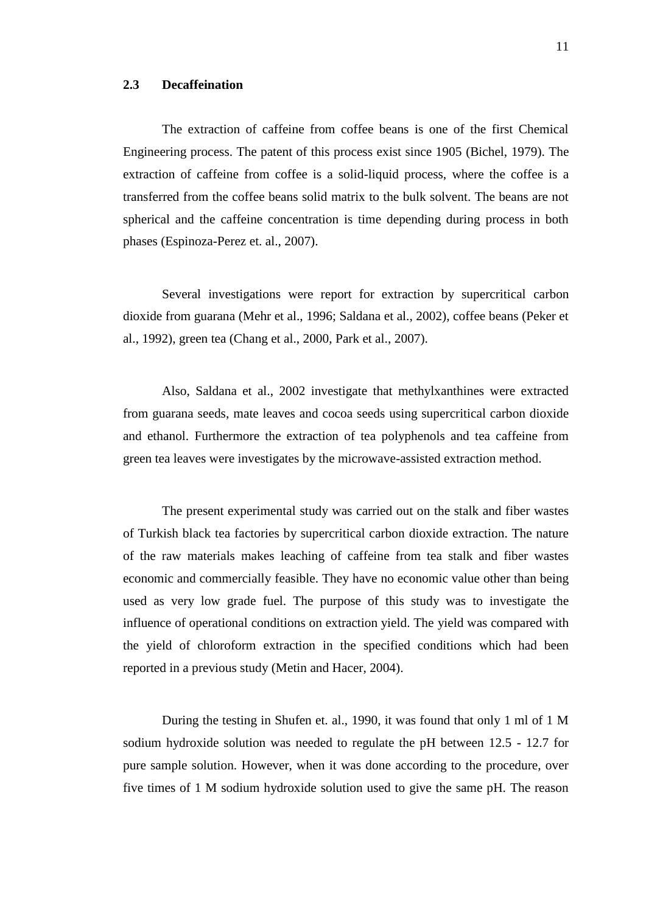#### **2.3 Decaffeination**

The extraction of caffeine from coffee beans is one of the first Chemical Engineering process. The patent of this process exist since 1905 (Bichel, 1979). The extraction of caffeine from coffee is a solid-liquid process, where the coffee is a transferred from the coffee beans solid matrix to the bulk solvent. The beans are not spherical and the caffeine concentration is time depending during process in both phases (Espinoza-Perez et. al., 2007).

Several investigations were report for extraction by supercritical carbon dioxide from guarana (Mehr et al., 1996; Saldana et al., 2002), coffee beans (Peker et al., 1992), green tea (Chang et al., 2000, Park et al., 2007).

Also, Saldana et al., 2002 investigate that methylxanthines were extracted from guarana seeds, mate leaves and cocoa seeds using supercritical carbon dioxide and ethanol. Furthermore the extraction of tea polyphenols and tea caffeine from green tea leaves were investigates by the microwave-assisted extraction method.

The present experimental study was carried out on the stalk and fiber wastes of Turkish black tea factories by supercritical carbon dioxide extraction. The nature of the raw materials makes leaching of caffeine from tea stalk and fiber wastes economic and commercially feasible. They have no economic value other than being used as very low grade fuel. The purpose of this study was to investigate the influence of operational conditions on extraction yield. The yield was compared with the yield of chloroform extraction in the specified conditions which had been reported in a previous study (Metin and Hacer, 2004).

During the testing in Shufen et. al., 1990, it was found that only 1 ml of 1 M sodium hydroxide solution was needed to regulate the pH between 12.5 - 12.7 for pure sample solution. However, when it was done according to the procedure, over five times of 1 M sodium hydroxide solution used to give the same pH. The reason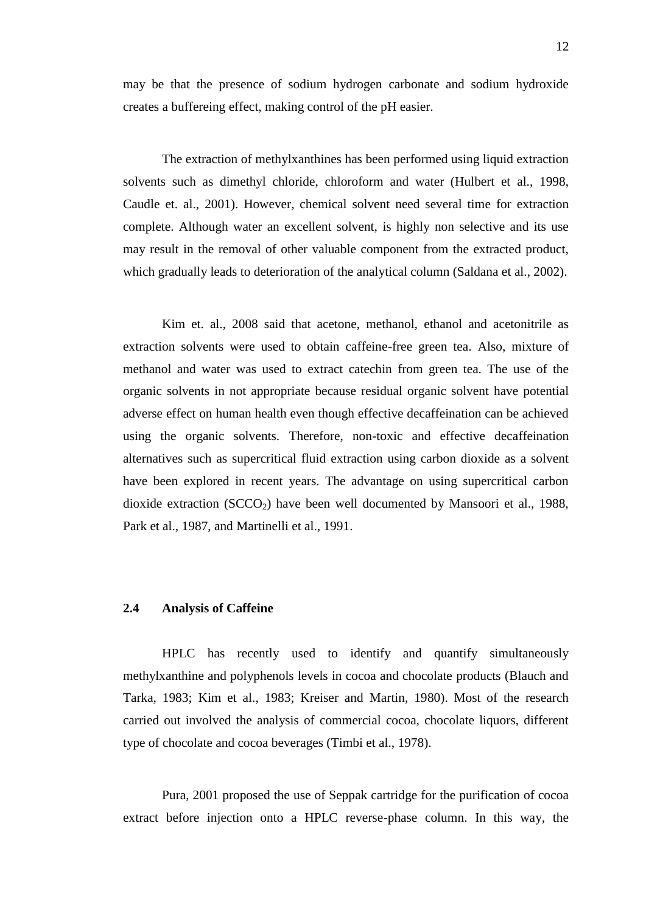may be that the presence of sodium hydrogen carbonate and sodium hydroxide creates a buffereing effect, making control of the pH easier.

The extraction of methylxanthines has been performed using liquid extraction solvents such as dimethyl chloride, chloroform and water (Hulbert et al., 1998, Caudle et. al., 2001). However, chemical solvent need several time for extraction complete. Although water an excellent solvent, is highly non selective and its use may result in the removal of other valuable component from the extracted product, which gradually leads to deterioration of the analytical column (Saldana et al., 2002).

Kim et. al., 2008 said that acetone, methanol, ethanol and acetonitrile as extraction solvents were used to obtain caffeine-free green tea. Also, mixture of methanol and water was used to extract catechin from green tea. The use of the organic solvents in not appropriate because residual organic solvent have potential adverse effect on human health even though effective decaffeination can be achieved using the organic solvents. Therefore, non-toxic and effective decaffeination alternatives such as supercritical fluid extraction using carbon dioxide as a solvent have been explored in recent years. The advantage on using supercritical carbon dioxide extraction  $(SCCO<sub>2</sub>)$  have been well documented by Mansoori et al., 1988, Park et al., 1987, and Martinelli et al., 1991.

#### **2.4 Analysis of Caffeine**

HPLC has recently used to identify and quantify simultaneously methylxanthine and polyphenols levels in cocoa and chocolate products (Blauch and Tarka, 1983; Kim et al., 1983; Kreiser and Martin, 1980). Most of the research carried out involved the analysis of commercial cocoa, chocolate liquors, different type of chocolate and cocoa beverages (Timbi et al., 1978).

Pura, 2001 proposed the use of Seppak cartridge for the purification of cocoa extract before injection onto a HPLC reverse-phase column. In this way, the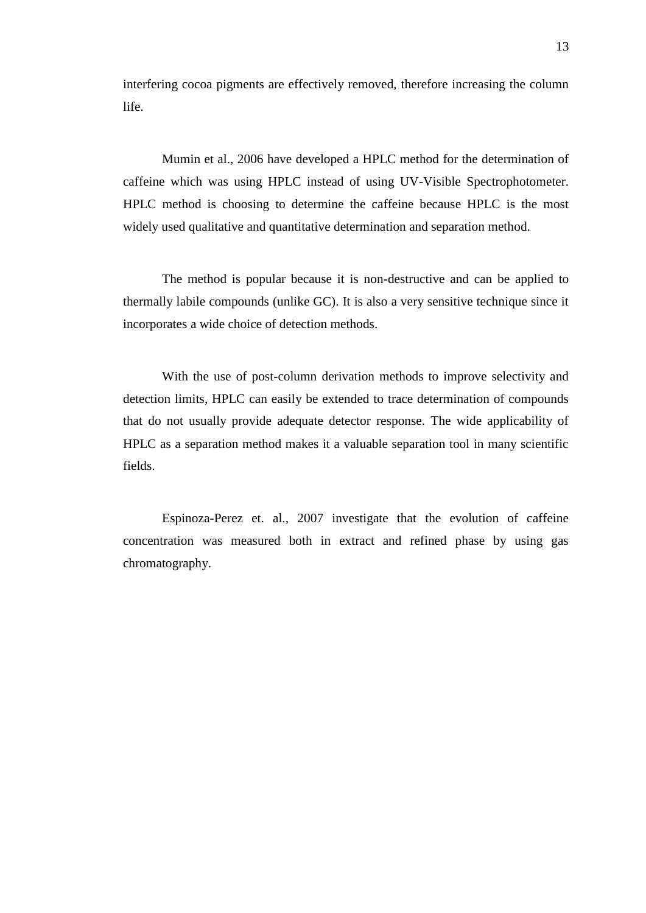interfering cocoa pigments are effectively removed, therefore increasing the column life.

Mumin et al., 2006 have developed a HPLC method for the determination of caffeine which was using HPLC instead of using UV-Visible Spectrophotometer. HPLC method is choosing to determine the caffeine because HPLC is the most widely used qualitative and quantitative determination and separation method.

The method is popular because it is non-destructive and can be applied to thermally labile compounds (unlike GC). It is also a very sensitive technique since it incorporates a wide choice of detection methods.

With the use of post-column derivation methods to improve selectivity and detection limits, HPLC can easily be extended to trace determination of compounds that do not usually provide adequate detector response. The wide applicability of HPLC as a separation method makes it a valuable separation tool in many scientific fields.

Espinoza-Perez et. al., 2007 investigate that the evolution of caffeine concentration was measured both in extract and refined phase by using gas chromatography.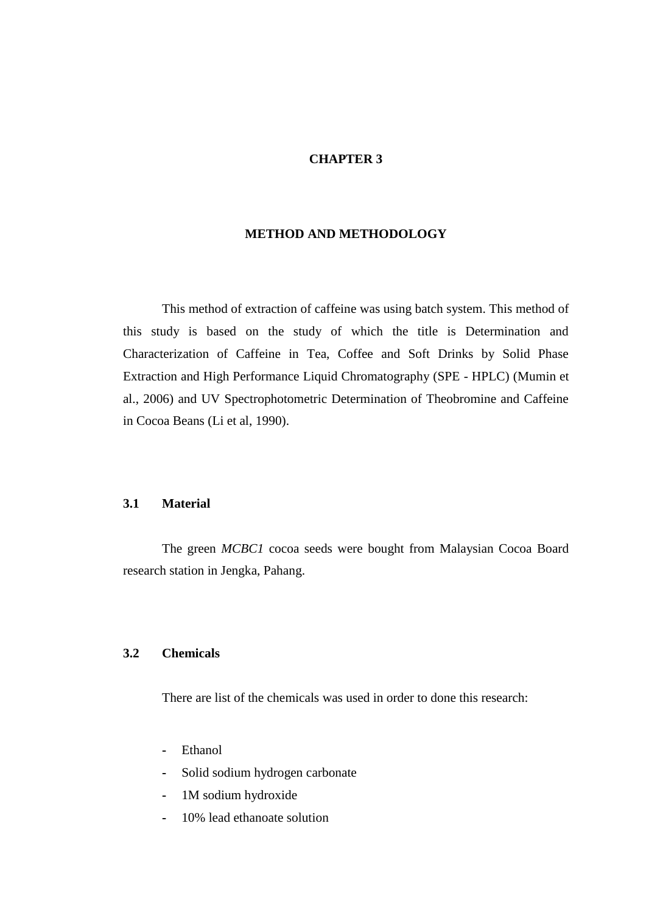#### **CHAPTER 3**

#### **METHOD AND METHODOLOGY**

This method of extraction of caffeine was using batch system. This method of this study is based on the study of which the title is Determination and Characterization of Caffeine in Tea, Coffee and Soft Drinks by Solid Phase Extraction and High Performance Liquid Chromatography (SPE - HPLC) (Mumin et al., 2006) and UV Spectrophotometric Determination of Theobromine and Caffeine in Cocoa Beans (Li et al, 1990).

#### **3.1 Material**

The green *MCBC1* cocoa seeds were bought from Malaysian Cocoa Board research station in Jengka, Pahang.

#### **3.2 Chemicals**

There are list of the chemicals was used in order to done this research:

- **-** Ethanol
- **-** Solid sodium hydrogen carbonate
- **-** 1M sodium hydroxide
- **-** 10% lead ethanoate solution